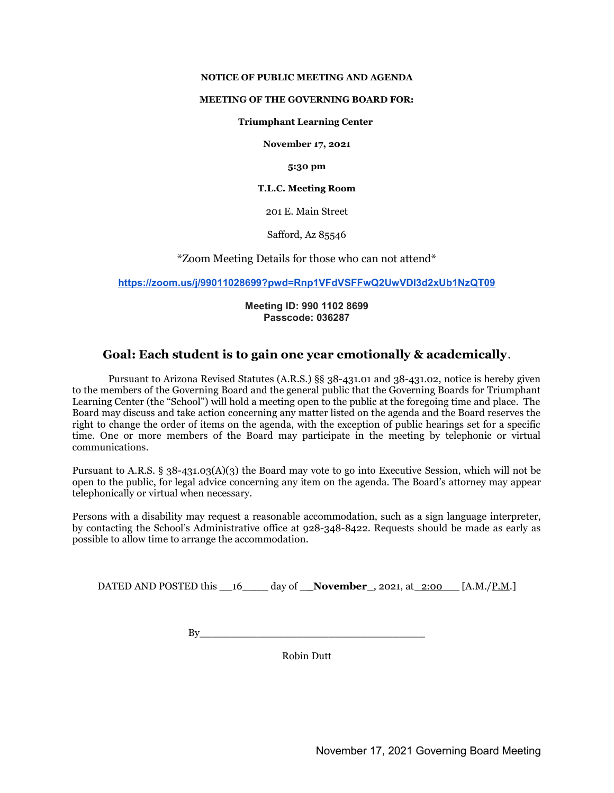#### NOTICE OF PUBLIC MEETING AND AGENDA

#### MEETING OF THE GOVERNING BOARD FOR:

#### Triumphant Learning Center

November 17, 2021

5:30 pm

#### T.L.C. Meeting Room

201 E. Main Street

Safford, Az 85546

\*Zoom Meeting Details for those who can not attend\*

https://zoom.us/j/99011028699?pwd=Rnp1VFdVSFFwQ2UwVDI3d2xUb1NzQT09

#### Meeting ID: 990 1102 8699 Passcode: 036287

# Goal: Each student is to gain one year emotionally & academically.

Pursuant to Arizona Revised Statutes (A.R.S.) §§ 38-431.01 and 38-431.02, notice is hereby given to the members of the Governing Board and the general public that the Governing Boards for Triumphant Learning Center (the "School") will hold a meeting open to the public at the foregoing time and place. The Board may discuss and take action concerning any matter listed on the agenda and the Board reserves the right to change the order of items on the agenda, with the exception of public hearings set for a specific time. One or more members of the Board may participate in the meeting by telephonic or virtual communications.

Pursuant to A.R.S. § 38-431.03(A)(3) the Board may vote to go into Executive Session, which will not be open to the public, for legal advice concerning any item on the agenda. The Board's attorney may appear telephonically or virtual when necessary.

Persons with a disability may request a reasonable accommodation, such as a sign language interpreter, by contacting the School's Administrative office at 928-348-8422. Requests should be made as early as possible to allow time to arrange the accommodation.

DATED AND POSTED this  $16$  day of **November**, 2021, at 2:00 [A.M./P.M.]

By\_\_\_\_\_\_\_\_\_\_\_\_\_\_\_\_\_\_\_\_\_\_\_\_\_\_\_\_\_\_\_\_\_\_\_

Robin Dutt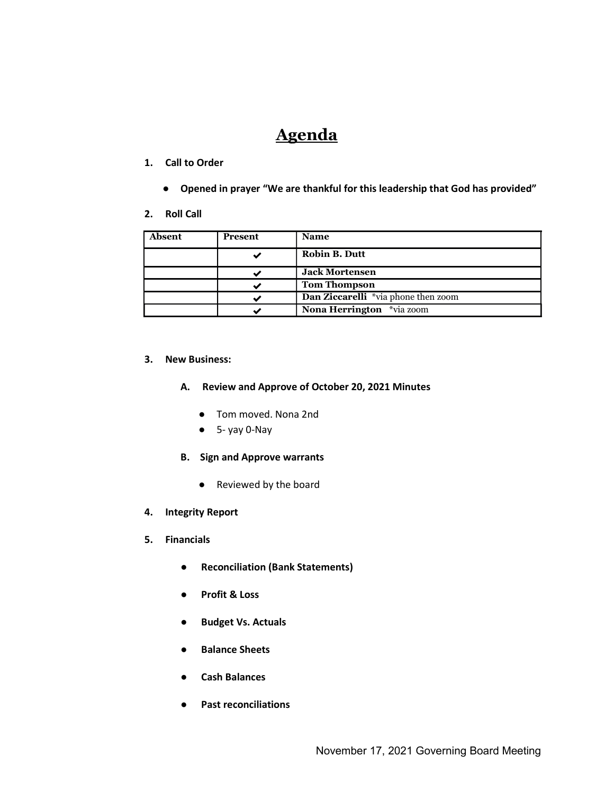# Agenda

## 1. Call to Order

- Opened in prayer "We are thankful for this leadership that God has provided"
- 2. Roll Call

| <b>Absent</b> | <b>Present</b> | <b>Name</b>                         |
|---------------|----------------|-------------------------------------|
|               |                | <b>Robin B. Dutt</b>                |
|               |                | <b>Jack Mortensen</b>               |
|               |                | <b>Tom Thompson</b>                 |
|               |                | Dan Ziccarelli *via phone then zoom |
|               |                | <b>Nona Herrington</b> *via zoom    |

## 3. New Business:

## A. Review and Approve of October 20, 2021 Minutes

- Tom moved. Nona 2nd
- 5- yay 0-Nay
- B. Sign and Approve warrants
	- Reviewed by the board
- 4. Integrity Report
- 5. Financials
	- Reconciliation (Bank Statements)
	- Profit & Loss
	- Budget Vs. Actuals
	- Balance Sheets
	- Cash Balances
	- Past reconciliations